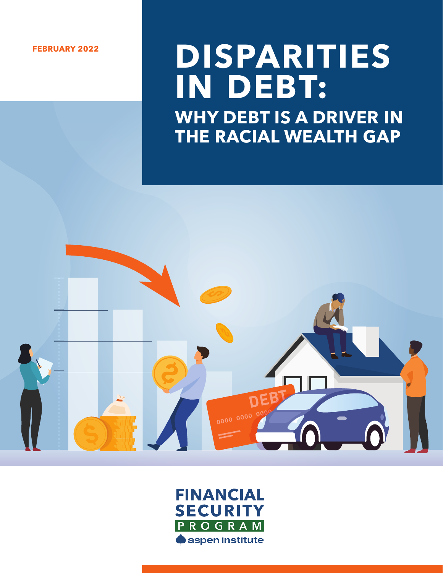### **FEBRUARY 2022**

# **DISPARITIES IN DEBT: WHY DEBT IS A DRIVER IN**

**THE RACIAL WEALTH GAP**

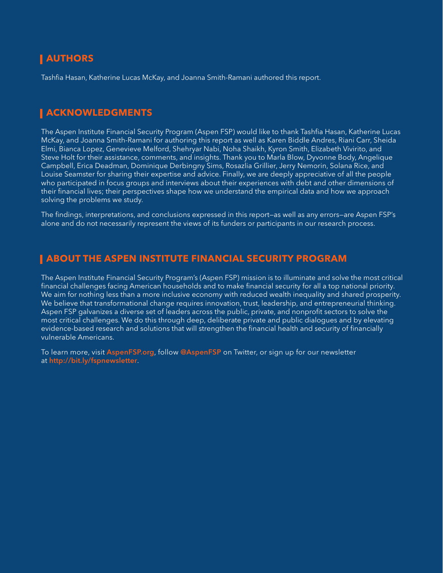### **AUTHORS**

Tashfia Hasan, Katherine Lucas McKay, and Joanna Smith-Ramani authored this report.

### **ACKNOWLEDGMENTS**

The Aspen Institute Financial Security Program (Aspen FSP) would like to thank Tashfia Hasan, Katherine Lucas McKay, and Joanna Smith-Ramani for authoring this report as well as Karen Biddle Andres, Riani Carr, Sheida Elmi, Bianca Lopez, Genevieve Melford, Shehryar Nabi, Noha Shaikh, Kyron Smith, Elizabeth Vivirito, and Steve Holt for their assistance, comments, and insights. Thank you to Marla Blow, Dyvonne Body, Angelique Campbell, Erica Deadman, Dominique Derbingny Sims, Rosazlia Grillier, Jerry Nemorin, Solana Rice, and Louise Seamster for sharing their expertise and advice. Finally, we are deeply appreciative of all the people who participated in focus groups and interviews about their experiences with debt and other dimensions of their financial lives; their perspectives shape how we understand the empirical data and how we approach solving the problems we study.

The findings, interpretations, and conclusions expressed in this report—as well as any errors—are Aspen FSP's alone and do not necessarily represent the views of its funders or participants in our research process.

### **ABOUT THE ASPEN INSTITUTE FINANCIAL SECURITY PROGRAM**

The Aspen Institute Financial Security Program's (Aspen FSP) mission is to illuminate and solve the most critical financial challenges facing American households and to make financial security for all a top national priority. We aim for nothing less than a more inclusive economy with reduced wealth inequality and shared prosperity. We believe that transformational change requires innovation, trust, leadership, and entrepreneurial thinking. Aspen FSP galvanizes a diverse set of leaders across the public, private, and nonprofit sectors to solve the most critical challenges. We do this through deep, deliberate private and public dialogues and by elevating evidence-based research and solutions that will strengthen the financial health and security of financially vulnerable Americans.

To learn more, visit [AspenFSP.org](https://www.aspeninstitute.org/programs/financial-security-program/), follow [@AspenFSP](https://twitter.com/AspenFSP) on Twitter, or sign up for our newsletter at <http://bit.ly/fspnewsletter>.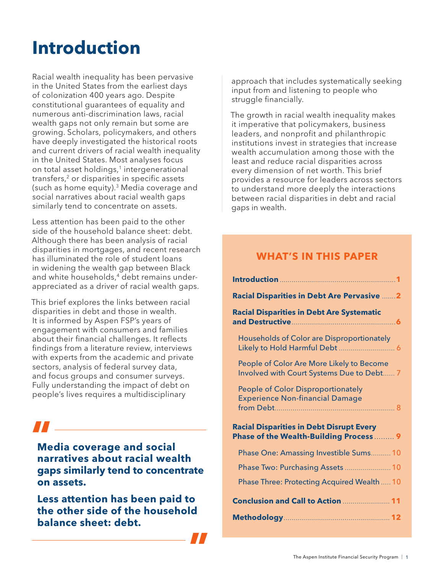# <span id="page-2-0"></span>**Introduction**

Racial wealth inequality has been pervasive in the United States from the earliest days of colonization 400 years ago. Despite constitutional guarantees of equality and numerous anti-discrimination laws, racial wealth gaps not only remain but some are growing. Scholars, policymakers, and others have deeply investigated the historical roots and current drivers of racial wealth inequality in the United States. Most analyses focus on total asset holdings,<sup>1</sup> intergenerational transfers,<sup>2</sup> or disparities in specific assets (such as home equity)[.3](#page-14-0) Media coverage and social narratives about racial wealth gaps similarly tend to concentrate on assets.

Less attention has been paid to the other side of the household balance sheet: debt. Although there has been analysis of racial disparities in mortgages, and recent research has illuminated the role of student loans in widening the wealth gap between Black and white households,<sup>4</sup> debt remains underappreciated as a driver of racial wealth gaps.

This brief explores the links between racial disparities in debt and those in wealth. It is informed by Aspen FSP's years of engagement with consumers and families about their financial challenges. It reflects findings from a literature review, interviews with experts from the academic and private sectors, analysis of federal survey data, and focus groups and consumer surveys. Fully understanding the impact of debt on people's lives requires a multidisciplinary

# **TH**<br>Me

**Media coverage and social narratives about racial wealth gaps similarly tend to concentrate on assets.** 

**Less attention has been paid to the other side of the household balance sheet: debt. "**

approach that includes systematically seeking input from and listening to people who struggle financially.

The growth in racial wealth inequality makes it imperative that policymakers, business leaders, and nonprofit and philanthropic institutions invest in strategies that increase wealth accumulation among those with the least and reduce racial disparities across every dimension of net worth. This brief provides a resource for leaders across sectors to understand more deeply the interactions between racial disparities in debt and racial gaps in wealth.

### **WHAT'S IN THIS PAPER**

| <b>Racial Disparities in Debt Are Pervasive  2</b>                                         |
|--------------------------------------------------------------------------------------------|
| <b>Racial Disparities in Debt Are Systematic</b><br>and Destructive <b>Manual</b> 2014     |
| <b>Households of Color are Disproportionately</b><br>Likely to Hold Harmful Debt  6        |
| People of Color Are More Likely to Become<br>Involved with Court Systems Due to Debt 7     |
| <b>People of Color Disproportionately</b><br><b>Experience Non-financial Damage</b>        |
| <b>Racial Disparities in Debt Disrupt Every</b><br>Phase of the Wealth-Building Process  9 |
| Phase One: Amassing Investible Sums 10                                                     |
| Phase Two: Purchasing Assets  10                                                           |
| Phase Three: Protecting Acquired Wealth  10                                                |
| Conclusion and Call to Action  11                                                          |
|                                                                                            |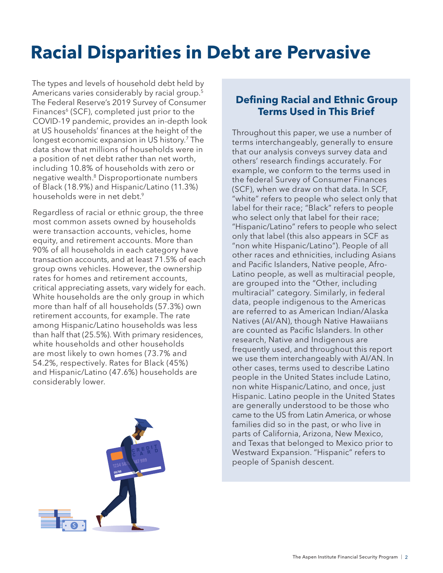# <span id="page-3-0"></span>**Racial Disparities in Debt are Pervasive**

The types and levels of household debt held by Americans varies considerably by racial group.<sup>[5](#page-14-0)</sup> The Federal Reserve's 2019 Survey of Consumer Finances $6$  (SCF), completed just prior to the COVID-19 pandemic, provides an in-depth look at US households' finances at the height of the longest economic expansion in US history.<sup>7</sup> The data show that millions of households were in a position of net debt rather than net worth, including 10.8% of households with zero or negative wealth[.8](#page-14-0) Disproportionate numbers of Black (18.9%) and Hispanic/Latino (11.3%) households were in net debt[.9](#page-14-0)

Regardless of racial or ethnic group, the three most common assets owned by households were transaction accounts, vehicles, home equity, and retirement accounts. More than 90% of all households in each category have transaction accounts, and at least 71.5% of each group owns vehicles. However, the ownership rates for homes and retirement accounts, critical appreciating assets, vary widely for each. White households are the only group in which more than half of all households (57.3%) own retirement accounts, for example. The rate among Hispanic/Latino households was less than half that (25.5%). With primary residences, white households and other households are most likely to own homes (73.7% and 54.2%, respectively. Rates for Black (45%) and Hispanic/Latino (47.6%) households are considerably lower.



### **Defining Racial and Ethnic Group Terms Used in This Brief**

Throughout this paper, we use a number of terms interchangeably, generally to ensure that our analysis conveys survey data and others' research findings accurately. For example, we conform to the terms used in the federal Survey of Consumer Finances (SCF), when we draw on that data. In SCF, "white" refers to people who select only that label for their race; "Black" refers to people who select only that label for their race; "Hispanic/Latino" refers to people who select only that label (this also appears in SCF as "non white Hispanic/Latino"). People of all other races and ethnicities, including Asians and Pacific Islanders, Native people, Afro-Latino people, as well as multiracial people, are grouped into the "Other, including multiracial" category. Similarly, in federal data, people indigenous to the Americas are referred to as American Indian/Alaska Natives (AI/AN), though Native Hawaiians are counted as Pacific Islanders. In other research, Native and Indigenous are frequently used, and throughout this report we use them interchangeably with AI/AN. In other cases, terms used to describe Latino people in the United States include Latino, non white Hispanic/Latino, and once, just Hispanic. Latino people in the United States are generally understood to be those who came to the US from Latin America, or whose families did so in the past, or who live in parts of California, Arizona, New Mexico, and Texas that belonged to Mexico prior to Westward Expansion. "Hispanic" refers to people of Spanish descent.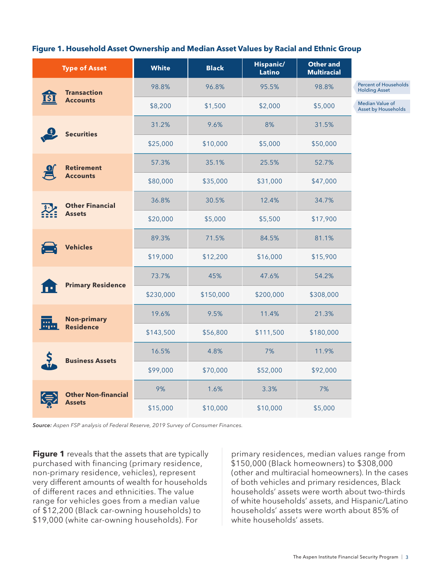| <b>Type of Asset</b>                          | <b>White</b> | <b>Black</b> | Hispanic/<br>Latino | <b>Other and</b><br><b>Multiracial</b> |                                                      |
|-----------------------------------------------|--------------|--------------|---------------------|----------------------------------------|------------------------------------------------------|
| <b>Transaction</b>                            | 98.8%        | 96.8%        | 95.5%               | 98.8%                                  | <b>Percent of Households</b><br><b>Holding Asset</b> |
| <b>Accounts</b>                               | \$8,200      | \$1,500      | \$2,000             | \$5,000                                | <b>Median Value of</b><br><b>Asset by Households</b> |
| \$<br><b>Securities</b>                       | 31.2%        | 9.6%         | 8%                  | 31.5%                                  |                                                      |
|                                               | \$25,000     | \$10,000     | \$5,000             | \$50,000                               |                                                      |
| <b>Retirement</b>                             | 57.3%        | 35.1%        | 25.5%               | 52.7%                                  |                                                      |
| <b>Accounts</b>                               | \$80,000     | \$35,000     | \$31,000            | \$47,000                               |                                                      |
| <b>Other Financial</b><br><b>Assets</b>       | 36.8%        | 30.5%        | 12.4%               | 34.7%                                  |                                                      |
|                                               | \$20,000     | \$5,000      | \$5,500             | \$17,900                               |                                                      |
| <b>Vehicles</b>                               | 89.3%        | 71.5%        | 84.5%               | 81.1%                                  |                                                      |
|                                               | \$19,000     | \$12,200     | \$16,000            | \$15,900                               |                                                      |
| <b>Primary Residence</b><br>œ                 | 73.7%        | 45%          | 47.6%               | 54.2%                                  |                                                      |
|                                               | \$230,000    | \$150,000    | \$200,000           | \$308,000                              |                                                      |
| <b>Non-primary</b><br><b>Residence</b><br>mp. | 19.6%        | 9.5%         | 11.4%               | 21.3%                                  |                                                      |
|                                               | \$143,500    | \$56,800     | \$111,500           | \$180,000                              |                                                      |
| <b>Business Assets</b>                        | 16.5%        | 4.8%         | 7%                  | 11.9%                                  |                                                      |
|                                               | \$99,000     | \$70,000     | \$52,000            | \$92,000                               |                                                      |
| <b>Other Non-financial</b><br><b>Assets</b>   | 9%           | 1.6%         | 3.3%                | 7%                                     |                                                      |
|                                               | \$15,000     | \$10,000     | \$10,000            | \$5,000                                |                                                      |

### **Figure 1. Household Asset Ownership and Median Asset Values by Racial and Ethnic Group**

*Source: Aspen FSP analysis of Federal Reserve, 2019 Survey of Consumer Finances.*

**Figure 1** reveals that the assets that are typically purchased with financing (primary residence, non-primary residence, vehicles), represent very different amounts of wealth for households of different races and ethnicities. The value range for vehicles goes from a median value of \$12,200 (Black car-owning households) to \$19,000 (white car-owning households). For

primary residences, median values range from \$150,000 (Black homeowners) to \$308,000 (other and multiracial homeowners). In the cases of both vehicles and primary residences, Black households' assets were worth about two-thirds of white households' assets, and Hispanic/Latino households' assets were worth about 85% of white households' assets.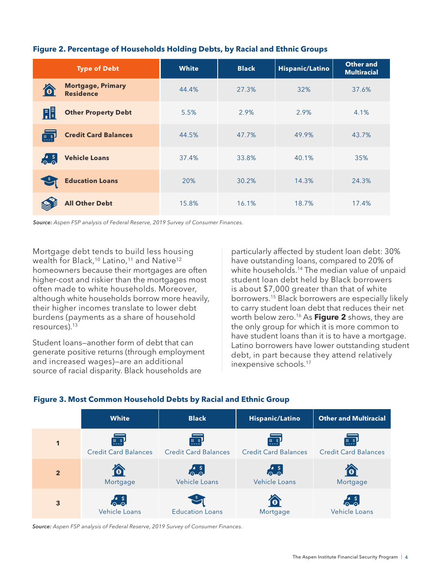| <b>Type of Debt</b>                               | <b>White</b> | <b>Black</b> | <b>Hispanic/Latino</b> | <b>Other and</b><br><b>Multiracial</b> |
|---------------------------------------------------|--------------|--------------|------------------------|----------------------------------------|
| <b>Mortgage, Primary</b><br>6<br><b>Residence</b> | 44.4%        | 27.3%        | 32%                    | 37.6%                                  |
| 鶣<br><b>Other Property Debt</b>                   | 5.5%         | 2.9%         | 2.9%                   | 4.1%                                   |
| <b>Credit Card Balances</b><br><u> =_\$</u>       | 44.5%        | 47.7%        | 49.9%                  | 43.7%                                  |
| <b>Vehicle Loans</b><br>$\frac{1}{2}$             | 37.4%        | 33.8%        | 40.1%                  | 35%                                    |
| $\stackrel{\$}{\sim}$<br><b>Education Loans</b>   | 20%          | 30.2%        | 14.3%                  | 24.3%                                  |
| <b>All Other Debt</b>                             | 15.8%        | 16.1%        | 18.7%                  | 17.4%                                  |

### <span id="page-5-0"></span>**Figure 2. Percentage of Households Holding Debts, by Racial and Ethnic Groups**

*Source: Aspen FSP analysis of Federal Reserve, 2019 Survey of Consumer Finances.*

Mortgage debt tends to build less housing wealth for Black,<sup>10</sup> Latino,<sup>[11](#page-14-0)</sup> and Native<sup>[12](#page-14-0)</sup> homeowners because their mortgages are often higher-cost and riskier than the mortgages most often made to white households. Moreover, although white households borrow more heavily, their higher incomes translate to lower debt burdens (payments as a share of household resources).[13](#page-14-0)

Student loans—another form of debt that can generate positive returns (through employment and increased wages)—are an additional source of racial disparity. Black households are

particularly affected by student loan debt: 30% have outstanding loans, compared to 20% of white households.<sup>[14](#page-14-0)</sup> The median value of unpaid student loan debt held by Black borrowers is about \$7,000 greater than that of white borrowers[.15](#page-14-0) Black borrowers are especially likely to carry student loan debt that reduces their net worth below zero[.16](#page-14-0) As **Figure 2** shows, they are the only group for which it is more common to have student loans than it is to have a mortgage. Latino borrowers have lower outstanding student debt, in part because they attend relatively inexpensive schools.[17](#page-14-0)



### **Figure 3. Most Common Household Debts by Racial and Ethnic Group**

*Source: Aspen FSP analysis of Federal Reserve, 2019 Survey of Consumer Finances.*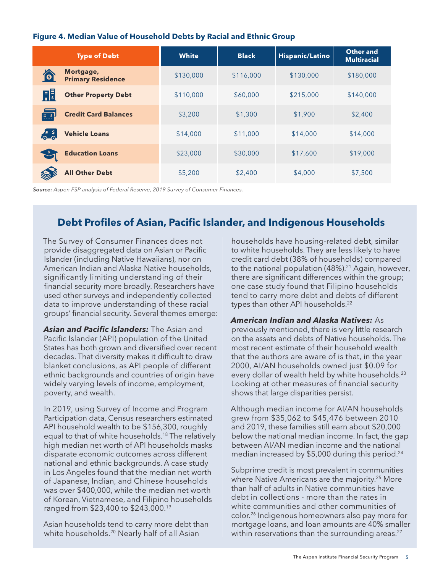### <span id="page-6-0"></span>**Figure 4. Median Value of Household Debts by Racial and Ethnic Group**

| <b>Type of Debt</b>                         | <b>White</b> | <b>Black</b> | <b>Hispanic/Latino</b> | <b>Other and</b><br><b>Multiracial</b> |
|---------------------------------------------|--------------|--------------|------------------------|----------------------------------------|
| Mortgage,<br>仓<br><b>Primary Residence</b>  | \$130,000    | \$116,000    | \$130,000              | \$180,000                              |
| F.<br><b>Other Property Debt</b>            | \$110,000    | \$60,000     | \$215,000              | \$140,000                              |
| <b>Credit Card Balances</b><br><u> =_\$</u> | \$3,200      | \$1,300      | \$1,900                | \$2,400                                |
| <b>Vehicle Loans</b>                        | \$14,000     | \$11,000     | \$14,000               | \$14,000                               |
| $\mathbf{E}$<br><b>Education Loans</b>      | \$23,000     | \$30,000     | \$17,600               | \$19,000                               |
| <b>All Other Debt</b>                       | \$5,200      | \$2,400      | \$4,000                | \$7,500                                |

*Source: Aspen FSP analysis of Federal Reserve, 2019 Survey of Consumer Finances.*

### **Debt Profiles of Asian, Pacific Islander, and Indigenous Households**

The Survey of Consumer Finances does not provide disaggregated data on Asian or Pacific Islander (including Native Hawaiians), nor on American Indian and Alaska Native households, significantly limiting understanding of their financial security more broadly. Researchers have used other surveys and independently collected data to improve understanding of these racial groups' financial security. Several themes emerge:

*Asian and Pacific Islanders:* The Asian and Pacific Islander (API) population of the United States has both grown and diversified over recent decades. That diversity makes it difficult to draw blanket conclusions, as API people of different ethnic backgrounds and countries of origin have widely varying levels of income, employment, poverty, and wealth.

In 2019, using Survey of Income and Program Participation data, Census researchers estimated API household wealth to be \$156,300, roughly equal to that of white households.[18](#page-14-0) The relatively high median net worth of API households masks disparate economic outcomes across different national and ethnic backgrounds. A case study in Los Angeles found that the median net worth of Japanese, Indian, and Chinese households was over \$400,000, while the median net worth of Korean, Vietnamese, and Filipino households ranged from \$23,400 to \$243,000[.19](#page-14-0)

Asian households tend to carry more debt than white households.<sup>[20](#page-14-0)</sup> Nearly half of all Asian

households have housing-related debt, similar to white households. They are less likely to have credit card debt (38% of households) compared to the national population  $(48\%)$ <sup>21</sup> Again, however, there are significant differences within the group; one case study found that Filipino households tend to carry more debt and debts of different types than other API households.<sup>[22](#page-14-0)</sup>

*American Indian and Alaska Natives:* As previously mentioned, there is very little research on the assets and debts of Native households. The most recent estimate of their household wealth that the authors are aware of is that, in the year 2000, AI/AN households owned just \$0.09 for every dollar of wealth held by white households.<sup>23</sup> Looking at other measures of financial security shows that large disparities persist.

Although median income for AI/AN households grew from \$35,062 to \$45,476 between 2010 and 2019, these families still earn about \$20,000 below the national median income. In fact, the gap between AI/AN median income and the national median increased by \$5,000 during this period.<sup>24</sup>

Subprime credit is most prevalent in communities where Native Americans are the majority.[25](#page-14-0) More than half of adults in Native communities have debt in collections - more than the rates in white communities and other communities of color.[26](#page-14-0) Indigenous homeowners also pay more for mortgage loans, and loan amounts are 40% smaller within reservations than the surrounding areas.<sup>[27](#page-14-0)</sup>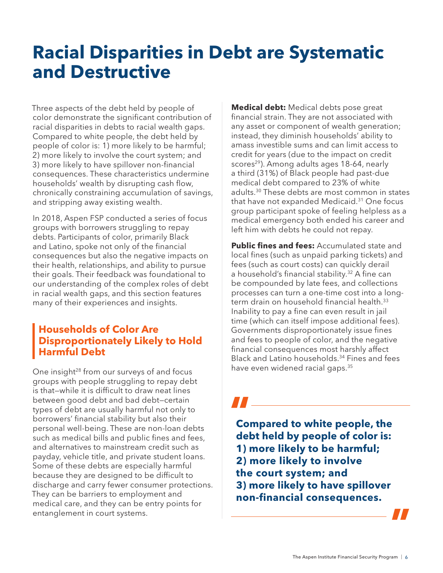## <span id="page-7-0"></span>**Racial Disparities in Debt are Systematic and Destructive**

Three aspects of the debt held by people of color demonstrate the significant contribution of racial disparities in debts to racial wealth gaps. Compared to white people, the debt held by people of color is: 1) more likely to be harmful; 2) more likely to involve the court system; and 3) more likely to have spillover non-financial consequences. These characteristics undermine households' wealth by disrupting cash flow, chronically constraining accumulation of savings, and stripping away existing wealth.

In 2018, Aspen FSP conducted a series of focus groups with borrowers struggling to repay debts. Participants of color, primarily Black and Latino, spoke not only of the financial consequences but also the negative impacts on their health, relationships, and ability to pursue their goals. Their feedback was foundational to our understanding of the complex roles of debt in racial wealth gaps, and this section features many of their experiences and insights.

### **Households of Color Are Disproportionately Likely to Hold Harmful Debt**

One insight<sup>[28](#page-14-0)</sup> from our surveys of and focus groups with people struggling to repay debt is that—while it is difficult to draw neat lines between good debt and bad debt—certain types of debt are usually harmful not only to borrowers' financial stability but also their personal well-being. These are non-loan debts such as medical bills and public fines and fees, and alternatives to mainstream credit such as payday, vehicle title, and private student loans. Some of these debts are especially harmful because they are designed to be difficult to discharge and carry fewer consumer protections. They can be barriers to employment and medical care, and they can be entry points for entanglement in court systems.

**Medical debt:** Medical debts pose great financial strain. They are not associated with any asset or component of wealth generation; instead, they diminish households' ability to amass investible sums and can limit access to credit for years (due to the impact on credit scores<sup>29</sup>). Among adults ages 18-64, nearly a third (31%) of Black people had past-due medical debt compared to 23% of white adults.[30](#page-15-0) These debts are most common in states that have not expanded Medicaid.<sup>[31](#page-15-0)</sup> One focus group participant spoke of feeling helpless as a medical emergency both ended his career and left him with debts he could not repay.

**Public fines and fees:** Accumulated state and local fines (such as unpaid parking tickets) and fees (such as court costs) can quickly derail a household's financial stability[.32](#page-15-0) A fine can be compounded by late fees, and collections processes can turn a one-time cost into a long-term drain on household financial health.<sup>[33](#page-15-0)</sup> Inability to pay a fine can even result in jail time (which can itself impose additional fees). Governments disproportionately issue fines and fees to people of color, and the negative financial consequences most harshly affect Black and Latino households.<sup>34</sup> Fines and fees have even widened racial gaps[.35](#page-15-0)

**Compared to white people, the debt held by people of color is: 1) more likely to be harmful; 2) more likely to involve the court system; and 3) more likely to have spillover non-financial consequences.** 



**"**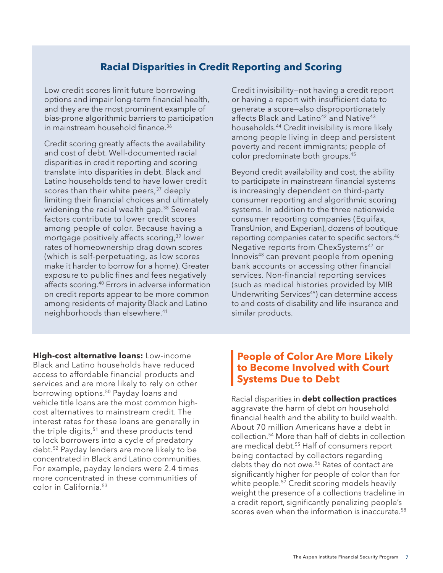### **Racial Disparities in Credit Reporting and Scoring**

<span id="page-8-0"></span>Low credit scores limit future borrowing options and impair long-term financial health, and they are the most prominent example of bias-prone algorithmic barriers to participation in mainstream household finance.<sup>36</sup>

Credit scoring greatly affects the availability and cost of debt. Well-documented racial disparities in credit reporting and scoring translate into disparities in debt. Black and Latino households tend to have lower credit scores than their white peers,<sup>37</sup> deeply limiting their financial choices and ultimately widening the racial wealth gap.<sup>38</sup> Several factors contribute to lower credit scores among people of color. Because having a mortgage positively affects scoring,<sup>39</sup> lower rates of homeownership drag down scores (which is self-perpetuating, as low scores make it harder to borrow for a home). Greater exposure to public fines and fees negatively affects scoring[.40](#page-15-0) Errors in adverse information on credit reports appear to be more common among residents of majority Black and Latino neighborhoods than elsewhere[.41](#page-15-0)

Credit invisibility—not having a credit report or having a report with insufficient data to generate a score—also disproportionately affects Black and Latino<sup>42</sup> and Native<sup>[43](#page-15-0)</sup> households.[44](#page-15-0) Credit invisibility is more likely among people living in deep and persistent poverty and recent immigrants; people of color predominate both groups.[45](#page-15-0)

Beyond credit availability and cost, the ability to participate in mainstream financial systems is increasingly dependent on third-party consumer reporting and algorithmic scoring systems. In addition to the three nationwide consumer reporting companies (Equifax, TransUnion, and Experian), dozens of boutique reporting companies cater to specific sectors.<sup>46</sup> Negative reports from ChexSystems<sup>47</sup> or Innovis[48](#page-15-0) can prevent people from opening bank accounts or accessing other financial services. Non-financial reporting services (such as medical histories provided by MIB Underwriting Services<sup>[49](#page-15-0)</sup>) can determine access to and costs of disability and life insurance and similar products.

**High-cost alternative loans:** Low-income Black and Latino households have reduced access to affordable financial products and services and are more likely to rely on other borrowing options.<sup>50</sup> Payday loans and vehicle title loans are the most common highcost alternatives to mainstream credit. The interest rates for these loans are generally in the triple digits, $51$  and these products tend to lock borrowers into a cycle of predatory debt.[52](#page-15-0) Payday lenders are more likely to be concentrated in Black and Latino communities. For example, payday lenders were 2.4 times more concentrated in these communities of color in California.[53](#page-15-0)

### **People of Color Are More Likely to Become Involved with Court Systems Due to Debt**

Racial disparities in **debt collection practices** aggravate the harm of debt on household financial health and the ability to build wealth. About 70 million Americans have a debt in collection[.54](#page-15-0) More than half of debts in collection are medical debt.<sup>[55](#page-15-0)</sup> Half of consumers report being contacted by collectors regarding debts they do not owe[.56](#page-15-0) Rates of contact are significantly higher for people of color than for white people.[57](#page-15-0) Credit scoring models heavily weight the presence of a collections tradeline in a credit report, significantly penalizing people's scores even when the information is inaccurate.<sup>58</sup>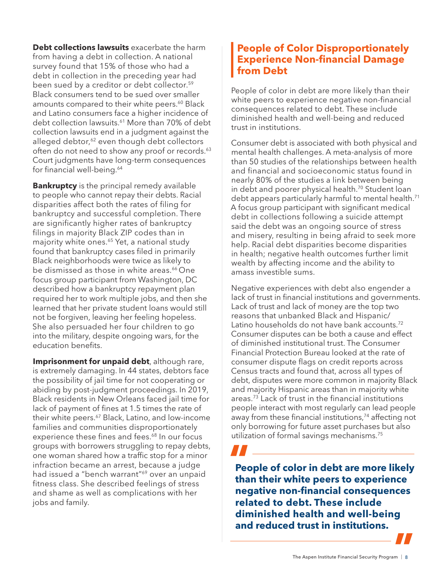<span id="page-9-0"></span>**Debt collections lawsuits** exacerbate the harm from having a debt in collection. A national survey found that 15% of those who had a debt in collection in the preceding year had been sued by a creditor or debt collector.<sup>59</sup> Black consumers tend to be sued over smaller amounts compared to their white peers.<sup>[60](#page-15-0)</sup> Black and Latino consumers face a higher incidence of debt collection lawsuits.<sup>61</sup> More than 70% of debt collection lawsuits end in a judgment against the alleged debtor, $62$  even though debt collectors often do not need to show any proof or records.<sup>[63](#page-15-0)</sup> Court judgments have long-term consequences for financial well-being.<sup>64</sup>

**Bankruptcy** is the principal remedy available to people who cannot repay their debts. Racial disparities affect both the rates of filing for bankruptcy and successful completion. There are significantly higher rates of bankruptcy filings in majority Black ZIP codes than in majority white ones.<sup>65</sup> Yet, a national study found that bankruptcy cases filed in primarily Black neighborhoods were twice as likely to be dismissed as those in white areas.<sup>[66](#page-15-0)</sup> One focus group participant from Washington, DC described how a bankruptcy repayment plan required her to work multiple jobs, and then she learned that her private student loans would still not be forgiven, leaving her feeling hopeless. She also persuaded her four children to go into the military, despite ongoing wars, for the education benefits.

**Imprisonment for unpaid debt**, although rare, is extremely damaging. In 44 states, debtors face the possibility of jail time for not cooperating or abiding by post-judgment proceedings. In 2019, Black residents in New Orleans faced jail time for lack of payment of fines at 1.5 times the rate of their white peers.<sup>67</sup> Black, Latino, and low-income families and communities disproportionately experience these fines and fees.<sup>68</sup> In our focus groups with borrowers struggling to repay debts, one woman shared how a traffic stop for a minor infraction became an arrest, because a judge had issued a "bench warrant"<sup>69</sup> over an unpaid fitness class. She described feelings of stress and shame as well as complications with her jobs and family.

### **People of Color Disproportionately Experience Non-financial Damage from Debt**

People of color in debt are more likely than their white peers to experience negative non-financial consequences related to debt. These include diminished health and well-being and reduced trust in institutions.

Consumer debt is associated with both physical and mental health challenges. A meta-analysis of more than 50 studies of the relationships between health and financial and socioeconomic status found in nearly 80% of the studies a link between being in debt and poorer physical health.<sup>[70](#page-16-0)</sup> Student loan debt appears particularly harmful to mental health.<sup>71</sup> A focus group participant with significant medical debt in collections following a suicide attempt said the debt was an ongoing source of stress and misery, resulting in being afraid to seek more help. Racial debt disparities become disparities in health; negative health outcomes further limit wealth by affecting income and the ability to amass investible sums.

Negative experiences with debt also engender a lack of trust in financial institutions and governments. Lack of trust and lack of money are the top two reasons that unbanked Black and Hispanic/ Latino households do not have bank accounts.<sup>72</sup> Consumer disputes can be both a cause and effect of diminished institutional trust. The Consumer Financial Protection Bureau looked at the rate of consumer dispute flags on credit reports across Census tracts and found that, across all types of debt, disputes were more common in majority Black and majority Hispanic areas than in majority white areas.[73](#page-16-0) Lack of trust in the financial institutions people interact with most regularly can lead people away from these financial institutions,<sup>74</sup> affecting not only borrowing for future asset purchases but also utilization of formal savings mechanisms[.75](#page-16-0)

**People of color in debt are more likely than their white peers to experience negative non-financial consequences related to debt. These include diminished health and well-being and reduced trust in institutions. TH**<br>Ped<br>tha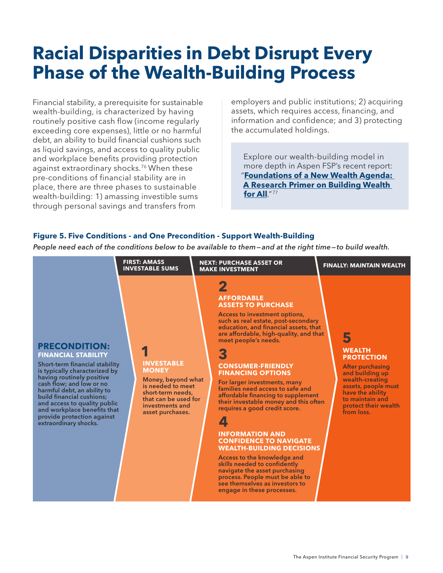# <span id="page-10-0"></span>**Racial Disparities in Debt Disrupt Every Phase of the Wealth-Building Process**

Financial stability, a prerequisite for sustainable wealth-building, is characterized by having routinely positive cash flow (income regularly exceeding core expenses), little or no harmful debt, an ability to build financial cushions such as liquid savings, and access to quality public and workplace benefits providing protection against extraordinary shocks.<sup>[76](#page-16-0)</sup> When these pre-conditions of financial stability are in place, there are three phases to sustainable wealth-building: 1) amassing investible sums through personal savings and transfers from

employers and public institutions; 2) acquiring assets, which requires access, financing, and information and confidence; and 3) protecting the accumulated holdings.

Explore our wealth-building model in more depth in Aspen FSP's recent report: "**[Foundations of a New Wealth Agenda:](https://www.aspeninstitute.org/publications/foundations-of-a-new-wealth-agenda-a-research-primer-on-wealth-building-for-all/)  [A Research Primer on Building Wealth](https://www.aspeninstitute.org/publications/foundations-of-a-new-wealth-agenda-a-research-primer-on-wealth-building-for-all/)  [for All](https://www.aspeninstitute.org/publications/foundations-of-a-new-wealth-agenda-a-research-primer-on-wealth-building-for-all/)**."[77](#page-16-0)

### **Figure 5. Five Conditions - and One Precondition - Support Wealth-Building**

*People need each of the conditions below to be available to them—and at the right time—to build wealth.*

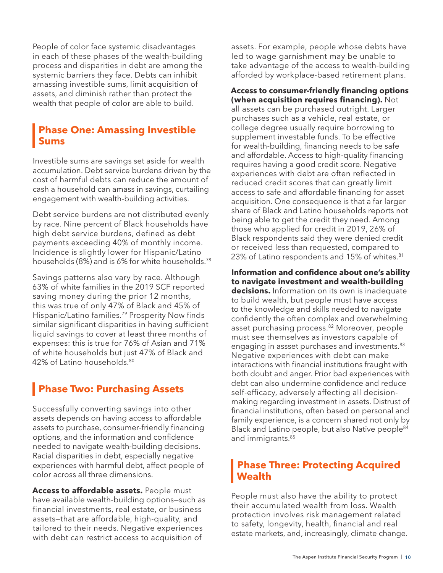<span id="page-11-0"></span>People of color face systemic disadvantages in each of these phases of the wealth-building process and disparities in debt are among the systemic barriers they face. Debts can inhibit amassing investible sums, limit acquisition of assets, and diminish rather than protect the wealth that people of color are able to build.

### **Phase One: Amassing Investible Sums**

Investible sums are savings set aside for wealth accumulation. Debt service burdens driven by the cost of harmful debts can reduce the amount of cash a household can amass in savings, curtailing engagement with wealth-building activities.

Debt service burdens are not distributed evenly by race. Nine percent of Black households have high debt service burdens, defined as debt payments exceeding 40% of monthly income. Incidence is slightly lower for Hispanic/Latino households (8%) and is 6% for white households.<sup>[78](#page-16-0)</sup>

Savings patterns also vary by race. Although 63% of white families in the 2019 SCF reported saving money during the prior 12 months, this was true of only 47% of Black and 45% of Hispanic/Latino families[.79](#page-16-0) Prosperity Now finds similar significant disparities in having sufficient liquid savings to cover at least three months of expenses: this is true for 76% of Asian and 71% of white households but just 47% of Black and 42% of Latino households[.80](#page-16-0)

### **Phase Two: Purchasing Assets**

Successfully converting savings into other assets depends on having access to affordable assets to purchase, consumer-friendly financing options, and the information and confidence needed to navigate wealth-building decisions. Racial disparities in debt, especially negative experiences with harmful debt, affect people of color across all three dimensions.

**Access to affordable assets.** People must have available wealth-building options—such as financial investments, real estate, or business assets—that are affordable, high-quality, and tailored to their needs. Negative experiences with debt can restrict access to acquisition of

assets. For example, people whose debts have led to wage garnishment may be unable to take advantage of the access to wealth-building afforded by workplace-based retirement plans.

**Access to consumer-friendly financing options (when acquisition requires financing).** Not all assets can be purchased outright. Larger purchases such as a vehicle, real estate, or college degree usually require borrowing to supplement investable funds. To be effective for wealth-building, financing needs to be safe and affordable. Access to high-quality financing requires having a good credit score. Negative experiences with debt are often reflected in reduced credit scores that can greatly limit access to safe and affordable financing for asset acquisition. One consequence is that a far larger share of Black and Latino households reports not being able to get the credit they need. Among those who applied for credit in 2019, 26% of Black respondents said they were denied credit or received less than requested, compared to 23% of Latino respondents and 15% of whites.<sup>[81](#page-16-0)</sup>

**Information and confidence about one's ability to navigate investment and wealth-building decisions.** Information on its own is inadequate to build wealth, but people must have access to the knowledge and skills needed to navigate confidently the often complex and overwhelming asset purchasing process.<sup>82</sup> Moreover, people must see themselves as investors capable of engaging in assset purchases and investments.<sup>83</sup> Negative experiences with debt can make interactions with financial institutions fraught with both doubt and anger. Prior bad experiences with debt can also undermine confidence and reduce self-efficacy, adversely affecting all decisionmaking regarding investment in assets. Distrust of financial institutions, often based on personal and family experience, is a concern shared not only by Black and Latino people, but also Native people<sup>84</sup> and immigrants.<sup>[85](#page-16-0)</sup>

### **Phase Three: Protecting Acquired Wealth**

People must also have the ability to protect their accumulated wealth from loss. Wealth protection involves risk management related to safety, longevity, health, financial and real estate markets, and, increasingly, climate change.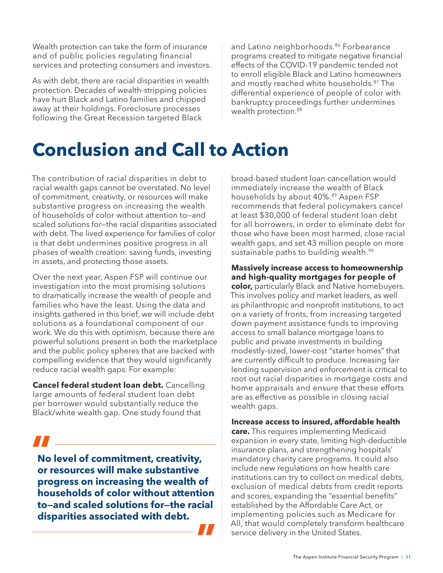<span id="page-12-0"></span>Wealth protection can take the form of insurance and of public policies regulating financial services and protecting consumers and investors.

As with debt, there are racial disparities in wealth protection. Decades of wealth-stripping policies have hurt Black and Latino families and chipped away at their holdings. Foreclosure processes following the Great Recession targeted Black

and Latino neighborhoods.<sup>86</sup> Forbearance programs created to mitigate negative financial effects of the COVID-19 pandemic tended not to enroll eligible Black and Latino homeowners and mostly reached white households.<sup>87</sup> The differential experience of people of color with bankruptcy proceedings further undermines wealth protection.<sup>88</sup>

# **Conclusion and Call to Action**

The contribution of racial disparities in debt to racial wealth gaps cannot be overstated. No level of commitment, creativity, or resources will make substantive progress on increasing the wealth of households of color without attention to—and scaled solutions for—the racial disparities associated with debt. The lived experience for families of color is that debt undermines positive progress in all phases of wealth creation: saving funds, investing in assets, and protecting those assets.

Over the next year, Aspen FSP will continue our investigation into the most promising solutions to dramatically increase the wealth of people and families who have the least. Using the data and insights gathered in this brief, we will include debt solutions as a foundational component of our work. We do this with optimism, because there are powerful solutions present in both the marketplace and the public policy spheres that are backed with compelling evidence that they would significantly reduce racial wealth gaps. For example:

**Cancel federal student loan debt.** Cancelling large amounts of federal student loan debt per borrower would substantially reduce the Black/white wealth gap. One study found that

# **11**<br>No<br>or

**No level of commitment, creativity, or resources will make substantive progress on increasing the wealth of households of color without attention to—and scaled solutions for—the racial disparities associated with debt. "**

broad-based student loan cancellation would immediately increase the wealth of Black households by about 40%.<sup>89</sup> Aspen FSP recommends that federal policymakers cancel at least \$30,000 of federal student loan debt for all borrowers, in order to eliminate debt for those who have been most harmed, close racial wealth gaps, and set 43 million people on more sustainable paths to building wealth.<sup>[90](#page-16-0)</sup>

### **Massively increase access to homeownership and high-quality mortgages for people of**

**color,** particularly Black and Native homebuyers. This involves policy and market leaders, as well as philanthropic and nonprofit institutions, to act on a variety of fronts, from increasing targeted down payment assistance funds to improving access to small balance mortgage loans to public and private investments in building modestly-sized, lower-cost "starter homes" that are currently difficult to produce. Increasing fair lending supervision and enforcement is critical to root out racial disparities in mortgage costs and home appraisals and ensure that these efforts are as effective as possible in closing racial wealth gaps.

### **Increase access to insured, affordable health**

**care.** This requires implementing Medicaid expansion in every state, limiting high-deductible insurance plans, and strengthening hospitals' mandatory charity care programs. It could also include new regulations on how health care institutions can try to collect on medical debts, exclusion of medical debts from credit reports and scores, expanding the "essential benefits" established by the Affordable Care Act, or implementing policies such as Medicare for All, that would completely transform healthcare service delivery in the United States.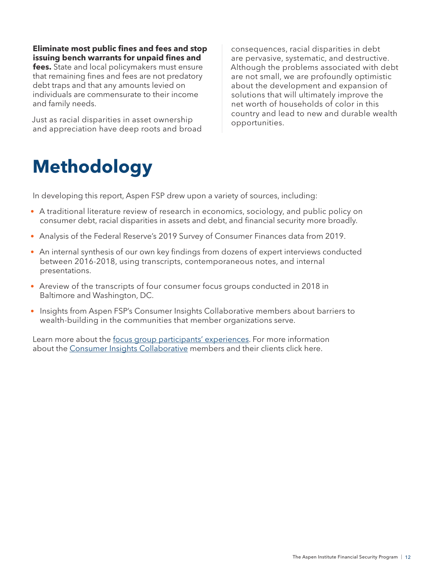<span id="page-13-0"></span>**Eliminate most public fines and fees and stop issuing bench warrants for unpaid fines and fees.** State and local policymakers must ensure that remaining fines and fees are not predatory debt traps and that any amounts levied on individuals are commensurate to their income and family needs.

Just as racial disparities in asset ownership and appreciation have deep roots and broad consequences, racial disparities in debt are pervasive, systematic, and destructive. Although the problems associated with debt are not small, we are profoundly optimistic about the development and expansion of solutions that will ultimately improve the net worth of households of color in this country and lead to new and durable wealth opportunities.

# **Methodology**

In developing this report, Aspen FSP drew upon a variety of sources, including:

- A traditional literature review of research in economics, sociology, and public policy on consumer debt, racial disparities in assets and debt, and financial security more broadly.
- Analysis of the Federal Reserve's 2019 Survey of Consumer Finances data from 2019.
- An internal synthesis of our own key findings from dozens of expert interviews conducted between 2016-2018, using transcripts, contemporaneous notes, and internal presentations.
- Areview of the transcripts of four consumer focus groups conducted in 2018 in Baltimore and Washington, DC.
- Insights from Aspen FSP's Consumer Insights Collaborative members about barriers to wealth-building in the communities that member organizations serve.

Learn more about the [focus group participants' experiences](https://www.aspeninstitute.org/blog-posts/real-stories-of-unmanageable-debt/). For more information about the [Consumer Insights Collaborative](https://www.aspeninstitute.org/programs/financial-security-program/consumer-insights-collaborative/) members and their clients click here.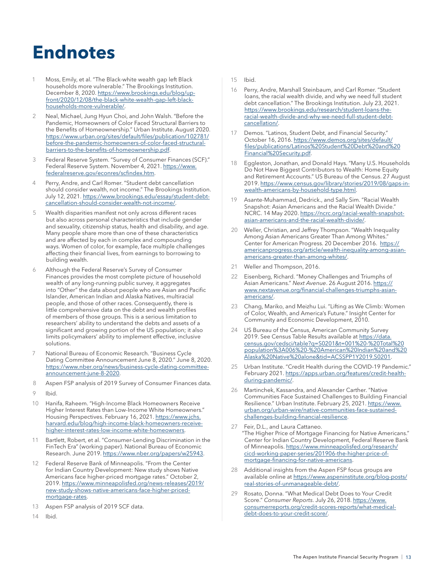## <span id="page-14-0"></span>**Endnotes**

- [1](#page-2-0) Moss, Emily, et al. "The Black-white wealth gap left Black households more vulnerable." The Brookings Institution. December 8, 2020. [https://www.brookings.edu/blog/up](https://www.brookings.edu/blog/up-front/2020/12/08/the-black-white-wealth-gap-left-black-households-more-vulnerable/)[front/2020/12/08/the-black-white-wealth-gap-left-black](https://www.brookings.edu/blog/up-front/2020/12/08/the-black-white-wealth-gap-left-black-households-more-vulnerable/)[households-more-vulnerable/.](https://www.brookings.edu/blog/up-front/2020/12/08/the-black-white-wealth-gap-left-black-households-more-vulnerable/)
- [2](#page-2-0) Neal, Michael, Jung Hyun Choi, and John Walsh. "Before the Pandemic, Homeowners of Color Faced Structural Barriers to the Benefits of Homeownership." Urban Institute. August 2020. [https://www.urban.org/sites/default/files/publication/102781/](https://www.urban.org/sites/default/files/publication/102781/before-the-pandemic-homeowners-of-color-faced-structural-barriers-to-the-benefits-of-homeownership.pdf) [before-the-pandemic-homeowners-of-color-faced-structural](https://www.urban.org/sites/default/files/publication/102781/before-the-pandemic-homeowners-of-color-faced-structural-barriers-to-the-benefits-of-homeownership.pdf)[barriers-to-the-benefits-of-homeownership.pdf](https://www.urban.org/sites/default/files/publication/102781/before-the-pandemic-homeowners-of-color-faced-structural-barriers-to-the-benefits-of-homeownership.pdf).
- [3](#page-2-0) Federal Reserve System. "Survey of Consumer Finances (SCF)." Federal Reserve System. November 4, 2021. [https://www.](https://www.federalreserve.gov/econres/scfindex.htm) [federalreserve.gov/econres/scfindex.htm](https://www.federalreserve.gov/econres/scfindex.htm).
- [4](#page-2-0) Perry, Andre, and Carl Romer. "Student debt cancellation should consider wealth, not income." The Brookings Institution. July 12, 2021. [https://www.brookings.edu/essay/student-debt](https://www.brookings.edu/essay/student-debt-cancellation-should-consider-wealth-not-income/)[cancellation-should-consider-wealth-not-income/](https://www.brookings.edu/essay/student-debt-cancellation-should-consider-wealth-not-income/).
- [5](#page-3-0) Wealth disparities manifest not only across different races but also across personal characteristics that include gender and sexuality, citizenship status, health and disability, and age. Many people share more than one of these characteristics and are affected by each in complex and compounding ways. Women of color, for example, face multiple challenges affecting their financial lives, from earnings to borrowing to building wealth.
- [6](#page-3-0) Although the Federal Reserve's Survey of Consumer Finances provides the most complete picture of household wealth of any long-running public survey, it aggregates into "Other" the data about people who are Asian and Pacific Islander, American Indian and Alaska Natives, multiracial people, and those of other races. Consequently, there is little comprehensive data on the debt and wealth profiles of members of those groups. This is a serious limitation to researchers' ability to understand the debts and assets of a significant and growing portion of the US population; it also limits policymakers' ability to implement effective, inclusive solutions.
- [7](#page-3-0) National Bureau of Economic Research. "Business Cycle Dating Committee Announcement June 8, 2020." June 8, 2020. [https://www.nber.org/news/business-cycle-dating-committee](https://www.nber.org/news/business-cycle-dating-committee-announcement-june-8-2020)[announcement-june-8-2020](https://www.nber.org/news/business-cycle-dating-committee-announcement-june-8-2020).
- [8](#page-3-0) Aspen FSP analysis of 2019 Survey of Consumer Finances data.
- [9](#page-3-0) Ibid.
- 10 Hanifa, Raheem. "High-Income Black Homeowners Receive Higher Interest Rates than Low-Income White Homeowners." Housing Perspectives. February 16, 2021. [https://www.jchs.](https://www.jchs.harvard.edu/blog/high-income-black-homeowners-receive-higher-interest-rates-low-income-white-homeowners) [harvard.edu/blog/high-income-black-homeowners-receive](https://www.jchs.harvard.edu/blog/high-income-black-homeowners-receive-higher-interest-rates-low-income-white-homeowners)[higher-interest-rates-low-income-white-homeowners.](https://www.jchs.harvard.edu/blog/high-income-black-homeowners-receive-higher-interest-rates-low-income-white-homeowners)
- 11 Bartlett, Robert, et al. "Consumer-Lending Discrimination in the FinTech Era" (working paper). National Bureau of Economic Research. June 2019. [https://www.nber.org/papers/w25943.](https://www.nber.org/papers/w25943)
- [12](#page-5-0) Federal Reserve Bank of Minneapolis. "From the Center for Indian Country Development: New study shows Native Americans face higher-priced mortgage rates." October 2, 2019. [https://www.minneapolisfed.org/news-releases/2019/](https://www.minneapolisfed.org/news-releases/2019/new-study-shows-native-americans-face-higher-priced-mortgage-rates) [new-study-shows-native-americans-face-higher-priced](https://www.minneapolisfed.org/news-releases/2019/new-study-shows-native-americans-face-higher-priced-mortgage-rates)[mortgage-rates.](https://www.minneapolisfed.org/news-releases/2019/new-study-shows-native-americans-face-higher-priced-mortgage-rates)
- 13 Aspen FSP analysis of 2019 SCF data.
- [14](#page-5-0) Ibid.
- [15](#page-5-0) Ibid.
- 16 Perry, Andre, Marshall Steinbaum, and Carl Romer. "Student loans, the racial wealth divide, and why we need full student debt cancellation." The Brookings Institution. July 23, 2021. [https://www.brookings.edu/research/student-loans-the](https://www.brookings.edu/research/student-loans-the-racial-wealth-divide-and-why-we-need-full-student-debt-cancellation/)[racial-wealth-divide-and-why-we-need-full-student-debt](https://www.brookings.edu/research/student-loans-the-racial-wealth-divide-and-why-we-need-full-student-debt-cancellation/)[cancellation/](https://www.brookings.edu/research/student-loans-the-racial-wealth-divide-and-why-we-need-full-student-debt-cancellation/).
- [17](#page-5-0) Demos. "Latinos, Student Debt, and Financial Security." October 16, 2016. [https://www.demos.org/sites/default/](https://www.demos.org/sites/default/files/publications/Latinos%20Student%20Debt%20and%20Financial%20Security.pdf) [files/publications/Latinos%20Student%20Debt%20and%20](https://www.demos.org/sites/default/files/publications/Latinos%20Student%20Debt%20and%20Financial%20Security.pdf) [Financial%20Security.pdf](https://www.demos.org/sites/default/files/publications/Latinos%20Student%20Debt%20and%20Financial%20Security.pdf).
- [18](#page-6-0) Eggleston, Jonathan, and Donald Hays. "Many U.S. Households Do Not Have Biggest Contributors to Wealth: Home Equity and Retirement Accounts." US Bureau of the Census. 27 August 2019. [https://www.census.gov/library/stories/2019/08/gaps-in](https://www.census.gov/library/stories/2019/08/gaps-in-wealth-americans-by-household-type.html)[wealth-americans-by-household-type.html.](https://www.census.gov/library/stories/2019/08/gaps-in-wealth-americans-by-household-type.html)
- [19](#page-6-0) Asante-Muhammad, Dedrick., and Sally Sim. "Racial Wealth Snapshot: Asian Americans and the Racial Wealth Divide." NCRC. 14 May 2020[.](https://ncrc.org/racial-wealth-snapshot-asian-americans-and-the-racial-wealth-divide/%23_ftn21) [https://ncrc.org/racial-wealth-snapshot](https://ncrc.org/racial-wealth-snapshot-asian-americans-and-the-racial-wealth-divide/)[asian-americans-and-the-racial-wealth-divide/.](https://ncrc.org/racial-wealth-snapshot-asian-americans-and-the-racial-wealth-divide/)
- [20](#page-6-0) Weller, Christian, and Jeffrey Thompson. "Wealth Inequality Among Asian Americans Greater Than Among Whites." Center for American Progress. 20 December 2016. [https://](https://americanprogress.org/article/wealth-inequality-among-asian-americans-greater-than-among-whites/) [americanprogress.org/article/wealth-inequality-among-asian](https://americanprogress.org/article/wealth-inequality-among-asian-americans-greater-than-among-whites/)[americans-greater-than-among-whites/.](https://americanprogress.org/article/wealth-inequality-among-asian-americans-greater-than-among-whites/)
- [21](#page-6-0) Weller and Thompson, 2016.
- 22 Eisenberg, Richard. "Money Challenges and Triumphs of Asian Americans." *Next Avenue*. 26 August 2016[.](https://www.nextavenue.org/financial-challenges-triumphs-asian-americans/) [https://](https://www.nextavenue.org/financial-challenges-triumphs-asian-americans/) [www.nextavenue.org/financial-challenges-triumphs-asian](https://www.nextavenue.org/financial-challenges-triumphs-asian-americans/)[americans/.](https://www.nextavenue.org/financial-challenges-triumphs-asian-americans/)
- [23](#page-6-0) Chang, Mariko, and Meizhu Lui. "Lifting as We Climb: Women of Color, Wealth, and America's Future." Insight Center for Community and Economic Development, 2010.
- [24](#page-6-0) US Bureau of the Census, American Community Survey 2019. See [Census Table Results](about:blank) available at [https://data.](https://data.census.gov/cedsci/table?q=S0201&t=001%20-%20Total%20population%3A006%20-%20American%20Indian%20and%20Alaska%20Native%20alone&tid=ACSSPP1Y2019.S0201) [census.gov/cedsci/table?q=S0201&t=001%20-%20Total%20](https://data.census.gov/cedsci/table?q=S0201&t=001%20-%20Total%20population%3A006%20-%20American%20Indian%20and%20Alaska%20Native%20alone&tid=ACSSPP1Y2019.S0201) [population%3A006%20-%20American%20Indian%20and%20](https://data.census.gov/cedsci/table?q=S0201&t=001%20-%20Total%20population%3A006%20-%20American%20Indian%20and%20Alaska%20Native%20alone&tid=ACSSPP1Y2019.S0201) [Alaska%20Native%20alone&tid=ACSSPP1Y2019.S0201](https://data.census.gov/cedsci/table?q=S0201&t=001%20-%20Total%20population%3A006%20-%20American%20Indian%20and%20Alaska%20Native%20alone&tid=ACSSPP1Y2019.S0201).
- [25](#page-6-0) Urban Institute. "Credit Health during the COVID-19 Pandemic." February 2021. [https://apps.urban.org/features/credit-health](https://apps.urban.org/features/credit-health-during-pandemic/)[during-pandemic/](https://apps.urban.org/features/credit-health-during-pandemic/).
- [26](#page-6-0) Martinchek, Kassandra, and Alexander Carther. "Native Communities Face Sustained Challenges to Building Financial Resilience." Urban Institute. February 25, 2021. [https://www.](https://www.urban.org/urban-wire/native-communities-face-sustained-challenges-building-financial-resilience) [urban.org/urban-wire/native-communities-face-sustained](https://www.urban.org/urban-wire/native-communities-face-sustained-challenges-building-financial-resilience)[challenges-building-financial-resilience](https://www.urban.org/urban-wire/native-communities-face-sustained-challenges-building-financial-resilience).
- [27](#page-6-0) Feir, D.L., and Laura Cattaneo. "The Higher Price of Mortgage Financing for Native Americans." Center for Indian Country Development, Federal Reserve Bank of Minneapolis. [https://www.minneapolisfed.org/research/](https://www.minneapolisfed.org/research/cicd-working-paper-series/201906-the-higher-price-of-mortgage-financing-for-native-americans) [cicd-working-paper-series/201906-the-higher-price-of](https://www.minneapolisfed.org/research/cicd-working-paper-series/201906-the-higher-price-of-mortgage-financing-for-native-americans)[mortgage-financing-for-native-americans.](https://www.minneapolisfed.org/research/cicd-working-paper-series/201906-the-higher-price-of-mortgage-financing-for-native-americans)
- [28](#page-7-0) Additional insights from the Aspen FSP focus groups are available online at [https://www.aspeninstitute.org/blog-posts/](https://www.aspeninstitute.org/blog-posts/real-stories-of-unmanageable-debt/) [real-stories-of-unmanageable-debt/](https://www.aspeninstitute.org/blog-posts/real-stories-of-unmanageable-debt/).
- [29](#page-7-0) Rosato, Donna. "What Medical Debt Does to Your Credit Score." *Consumer Reports*. July 26, 2018. [https://www.](https://www.consumerreports.org/credit-scores-reports/what-medical-debt-does-to-your-credit-score/) [consumerreports.org/credit-scores-reports/what-medical](https://www.consumerreports.org/credit-scores-reports/what-medical-debt-does-to-your-credit-score/)[debt-does-to-your-credit-score/.](https://www.consumerreports.org/credit-scores-reports/what-medical-debt-does-to-your-credit-score/)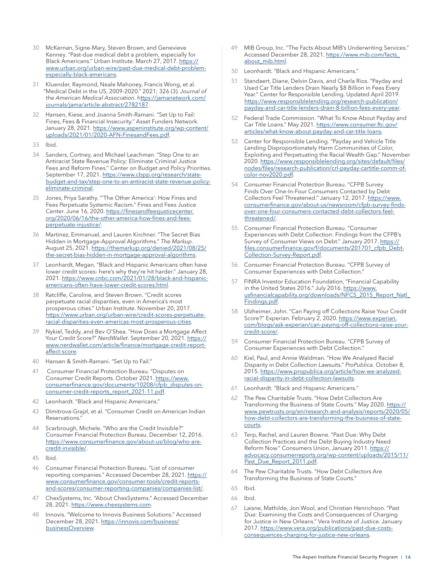- <span id="page-15-0"></span>[30](#page-7-0) McKernan, Signe-Mary, Steven Brown, and Genevieve Kenney. "Past-due medical debt a problem, especially for Black Americans." Urban Institute. March 27, 2017. [https://](https://www.urban.org/urban-wire/past-due-medical-debt-problem-especially-black-americans) [www.urban.org/urban-wire/past-due-medical-debt-problem](https://www.urban.org/urban-wire/past-due-medical-debt-problem-especially-black-americans)[especially-black-americans.](https://www.urban.org/urban-wire/past-due-medical-debt-problem-especially-black-americans)
- [31](#page-7-0) Kluender, Raymond, Neale Mahoney, Francis Wong, et al. "Medical Debt in the US, 2009-2020." 2021; 326 (3). *Journal of the American Medical Association*. [https://jamanetwork.com/](https://jamanetwork.com/journals/jama/article-abstract/2782187) [journals/jama/article-abstract/2782187](https://jamanetwork.com/journals/jama/article-abstract/2782187).
- [32](#page-7-0) Hansen, Kiese, and Joanna Smith-Ramani. "Set Up to Fail: Fines, Fees & Financial Insecurity." Asset Funders Network. January 28, 2021. [https://www.aspeninstitute.org/wp-content/](https://www.aspeninstitute.org/wp-content/uploads/2021/01/2020-AFN-FinesandFees.pdf) [uploads/2021/01/2020-AFN-FinesandFees.pdf.](https://www.aspeninstitute.org/wp-content/uploads/2021/01/2020-AFN-FinesandFees.pdf)
- [33](#page-7-0) Ibid.
- [34](#page-7-0) Sanders, Cortney, and Michael Leachman. "Step One to an Antiracist State Revenue Policy: Eliminate Criminal Justice Fees and Reform Fines." Center on Budget and Policy Priorities. September 17, 2021. [https://www.cbpp.org/research/state](https://www.cbpp.org/research/state-budget-and-tax/step-one-to-an-antiracist-state-revenue-policy-eliminate-criminal)[budget-and-tax/step-one-to-an-antiracist-state-revenue-policy](https://www.cbpp.org/research/state-budget-and-tax/step-one-to-an-antiracist-state-revenue-policy-eliminate-criminal)[eliminate-criminal](https://www.cbpp.org/research/state-budget-and-tax/step-one-to-an-antiracist-state-revenue-policy-eliminate-criminal).
- [35](#page-7-0) Jones, Priya Sarathy. "'The Other America': How Fines and Fees Perpetuate Systemic Racism." Fines and Fees Justice Center. June 16, 2020. [https://finesandfeesjusticecenter.](https://finesandfeesjusticecenter.org/2020/06/16/the-other-america-how-fines-and-fees-perpetuate-injustice/) [org/2020/06/16/the-other-america-how-fines-and-fees](https://finesandfeesjusticecenter.org/2020/06/16/the-other-america-how-fines-and-fees-perpetuate-injustice/)[perpetuate-injustice/.](https://finesandfeesjusticecenter.org/2020/06/16/the-other-america-how-fines-and-fees-perpetuate-injustice/)
- [36](#page-8-0) Martinez, Emmanuel, and Lauren Kirchner. "The Secret Bias Hidden in Mortgage-Approval Algorithms." *The Markup*. August 25, 2021. [https://themarkup.org/denied/2021/08/25/](https://themarkup.org/denied/2021/08/25/the-secret-bias-hidden-in-mortgage-approval-algorithms) [the-secret-bias-hidden-in-mortgage-approval-algorithms](https://themarkup.org/denied/2021/08/25/the-secret-bias-hidden-in-mortgage-approval-algorithms).
- [37](#page-8-0) Leonhardt, Megan. "Black and Hispanic Americans often have lower credit scores- here's why they're hit harder." January 28, 2021. [https://www.cnbc.com/2021/01/28/black-and-hispanic](https://www.cnbc.com/2021/01/28/black-and-hispanic-americans-often-have-lower-credit-scores.html)[americans-often-have-lower-credit-scores.html](https://www.cnbc.com/2021/01/28/black-and-hispanic-americans-often-have-lower-credit-scores.html).
- 38 Ratcliffe, Caroline, and Steven Brown. "Credit scores perpetuate racial disparities, even in America's most prosperous cities." Urban Institute. November 20, 2017. [https://www.urban.org/urban-wire/credit-scores-perpetuate](https://www.urban.org/urban-wire/credit-scores-perpetuate-racial-disparities-even-americas-most-prosperous-cities)[racial-disparities-even-americas-most-prosperous-cities](https://www.urban.org/urban-wire/credit-scores-perpetuate-racial-disparities-even-americas-most-prosperous-cities).
- 39 Nykiel, Teddy, and Bev O'Shea. "How Does a Mortgage Affect Your Credit Score?" *NerdWallet*. September 20, 2021. [https://](https://www.nerdwallet.com/article/finance/mortgage-credit-report-affect-score) [www.nerdwallet.com/article/finance/mortgage-credit-report](https://www.nerdwallet.com/article/finance/mortgage-credit-report-affect-score)[affect-score](https://www.nerdwallet.com/article/finance/mortgage-credit-report-affect-score).
- [40](#page-8-0) Hansen & Smith-Ramani. "Set Up to Fail."
- [41](#page-8-0) Consumer Financial Protection Bureau. "Disputes on Consumer Credit Reports. October 2021. [https://www.](https://www.consumerfinance.gov/documents/10208/cfpb_disputes-on-consumer-credit-reports_report_2021-11.pdf) [consumerfinance.gov/documents/10208/cfpb\\_disputes-on](https://www.consumerfinance.gov/documents/10208/cfpb_disputes-on-consumer-credit-reports_report_2021-11.pdf)[consumer-credit-reports\\_report\\_2021-11.pdf.](https://www.consumerfinance.gov/documents/10208/cfpb_disputes-on-consumer-credit-reports_report_2021-11.pdf)
- [42](#page-8-0) Leonhardt. "Black and Hispanic Americans."
- 43 Dimitrova-Grajzl, et al. "Consumer Credit on American Indian Reservations."
- [44](#page-8-0) Scarbrough, Michele. "Who are the Credit Invisible?" Consumer Financial Protection Bureau. December 12, 2016. [https://www.consumerfinance.gov/about-us/blog/who-are](https://www.consumerfinance.gov/about-us/blog/who-are-credit-invisible/)[credit-invisible/](https://www.consumerfinance.gov/about-us/blog/who-are-credit-invisible/).
- 45 Ibid.
- [46](#page-8-0) Consumer Financial Protection Bureau. "List of consumer reporting companies." Accessed December 28, 2021. [https://](https://www.consumerfinance.gov/consumer-tools/credit-reports-and-scores/consumer-reporting-companies/companies-list/) [www.consumerfinance.gov/consumer-tools/credit-reports](https://www.consumerfinance.gov/consumer-tools/credit-reports-and-scores/consumer-reporting-companies/companies-list/)[and-scores/consumer-reporting-companies/companies-list/](https://www.consumerfinance.gov/consumer-tools/credit-reports-and-scores/consumer-reporting-companies/companies-list/).
- 47 ChexSystems, Inc. "About ChexSystems." Accessed December 28, 2021. https://www.chexsystems.com.
- 48 Innovis. "Welcome to Innovis Business Solutions." Accessed December 28, 2021. [https://innovis.com/business/](https://innovis.com/business/businessOverview) [businessOverview](https://innovis.com/business/businessOverview).
- [49](#page-8-0) MIB Group, Inc. "The Facts About MIB's Underwriting Services." Accessed December 28, 2021. [https://www.mib.com/facts\\_](https://www.mib.com/facts_about_mib.html) [about\\_mib.html.](https://www.mib.com/facts_about_mib.html)
- [50](#page-8-0) Leonhardt. "Black and Hispanic Americans."
- [51](#page-8-0) Standaert, Diane, Delvin Davis, and Charla Rios. "Payday and Used Car Title Lenders Drain Nearly \$8 Billion in Fees Every Year." Center for Responsible Lending. Updated April 2019. [https://www.responsiblelending.org/research-publication/](https://www.responsiblelending.org/research-publication/payday-and-car-title-lenders-drain-8-billion-fees-every-year) [payday-and-car-title-lenders-drain-8-billion-fees-every-year](https://www.responsiblelending.org/research-publication/payday-and-car-title-lenders-drain-8-billion-fees-every-year).
- [52](#page-8-0) Federal Trade Commission. "What To Know About Payday and Car Title Loans." May 2021. [https://www.consumer.ftc.gov/](https://www.consumer.ftc.gov/articles/what-know-about-payday-and-car-title-loans) [articles/what-know-about-payday-and-car-title-loans](https://www.consumer.ftc.gov/articles/what-know-about-payday-and-car-title-loans).
- [53](#page-8-0) Center for Responsible Lending. "Payday and Vehicle Title Lending Disproportionately Harm Communities of Color, Exploiting and Perpetuating the Racial Wealth Gap." November 2020. [https://www.responsiblelending.org/sites/default/files/](https://www.responsiblelending.org/sites/default/files/nodes/files/research-publication/crl-payday-cartitle-comm-of-color-nov2020.pdf) [nodes/files/research-publication/crl-payday-cartitle-comm-of](https://www.responsiblelending.org/sites/default/files/nodes/files/research-publication/crl-payday-cartitle-comm-of-color-nov2020.pdf)[color-nov2020.pdf](https://www.responsiblelending.org/sites/default/files/nodes/files/research-publication/crl-payday-cartitle-comm-of-color-nov2020.pdf).
- [54](#page-8-0) Consumer Financial Protection Bureau. "CFPB Survey Finds Over One-In-Four Consumers Contacted by Debt Collectors Feel Threatened." January 12, 2017. [https://www.](https://www.consumerfinance.gov/about-us/newsroom/cfpb-survey-finds-over-one-four-consumers-contacted-debt-collectors-feel-threatened/) [consumerfinance.gov/about-us/newsroom/cfpb-survey-finds](https://www.consumerfinance.gov/about-us/newsroom/cfpb-survey-finds-over-one-four-consumers-contacted-debt-collectors-feel-threatened/)[over-one-four-consumers-contacted-debt-collectors-feel](https://www.consumerfinance.gov/about-us/newsroom/cfpb-survey-finds-over-one-four-consumers-contacted-debt-collectors-feel-threatened/)[threatened/](https://www.consumerfinance.gov/about-us/newsroom/cfpb-survey-finds-over-one-four-consumers-contacted-debt-collectors-feel-threatened/).
- [55](#page-8-0) Consumer Financial Protection Bureau. "Consumer Experiences with Debt Collection: Findings from the CFPB's Survey of Consumer Views on Debt." January 2017. [https://](https://files.consumerfinance.gov/f/documents/201701_cfpb_Debt-Collection-Survey-Report.pdf) [files.consumerfinance.gov/f/documents/201701\\_cfpb\\_Debt-](https://files.consumerfinance.gov/f/documents/201701_cfpb_Debt-Collection-Survey-Report.pdf)[Collection-Survey-Report.pdf.](https://files.consumerfinance.gov/f/documents/201701_cfpb_Debt-Collection-Survey-Report.pdf)
- [56](#page-8-0) Consumer Financial Protection Bureau. "CFPB Survey of Consumer Experiences with Debt Collection."
- [57](#page-8-0) FINRA Investor Education Foundation, "Financial Capability in the United States 2016." July 2016. <u>[https://www.](https://www.usfinancialcapability.org/downloads/NFCS_2015_Report_Natl_Findings.pdf)</u> [usfinancialcapability.org/downloads/NFCS\\_2015\\_Report\\_Natl\\_](https://www.usfinancialcapability.org/downloads/NFCS_2015_Report_Natl_Findings.pdf) [Findings.pdf.](https://www.usfinancialcapability.org/downloads/NFCS_2015_Report_Natl_Findings.pdf)
- [58](#page-8-0) Ulzheimer, John. "Can Paying off Collections Raise Your Credit Score?" Experian. February 2, 2020. [https://www.experian.](https://www.experian.com/blogs/ask-experian/can-paying-off-collections-raise-your-credit-score/) [com/blogs/ask-experian/can-paying-off-collections-raise-your](https://www.experian.com/blogs/ask-experian/can-paying-off-collections-raise-your-credit-score/)[credit-score/.](https://www.experian.com/blogs/ask-experian/can-paying-off-collections-raise-your-credit-score/)
- 59 Consumer Financial Protection Bureau. "CFPB Survey of Consumer Experiences with Debt Collection."
- [60](#page-9-0) Kiel, Paul, and Annie Waldman. "How We Analyzed Racial Disparity in Debt Collection Lawsuits." *ProPublica.* October 8, 2015. [https://www.propublica.org/article/how-we-analyzed](https://www.propublica.org/article/how-we-analyzed-racial-disparity-in-debt-collection-lawsuits)[racial-disparity-in-debt-collection-lawsuits](https://www.propublica.org/article/how-we-analyzed-racial-disparity-in-debt-collection-lawsuits).
- [61](#page-9-0) Leonhardt. "Black and Hispanic Americans."
- [62](#page-9-0) The Pew Charitable Trusts. "How Debt Collectors Are Transforming the Business of State Courts." May 2020. [https://](https://www.pewtrusts.org/en/research-and-analysis/reports/2020/05/how-debt-collectors-are-transforming-the-business-of-state-courts) [www.pewtrusts.org/en/research-and-analysis/reports/2020/05/](https://www.pewtrusts.org/en/research-and-analysis/reports/2020/05/how-debt-collectors-are-transforming-the-business-of-state-courts) [how-debt-collectors-are-transforming-the-business-of-state](https://www.pewtrusts.org/en/research-and-analysis/reports/2020/05/how-debt-collectors-are-transforming-the-business-of-state-courts)[courts.](https://www.pewtrusts.org/en/research-and-analysis/reports/2020/05/how-debt-collectors-are-transforming-the-business-of-state-courts)
- [63](#page-9-0) Terp, Rachel, and Lauren Bowne. "Past Due: Why Debt Collection Practices and the Debt Buying Industry Need Reform Now." Consumers Union, January 2011. [https://](https://advocacy.consumerreports.org/wp-content/uploads/2015/11/Past_Due_Report_2011.pdf) [advocacy.consumerreports.org/wp-content/uploads/2015/11/](https://advocacy.consumerreports.org/wp-content/uploads/2015/11/Past_Due_Report_2011.pdf) [Past\\_Due\\_Report\\_2011.pdf](https://advocacy.consumerreports.org/wp-content/uploads/2015/11/Past_Due_Report_2011.pdf).
- The Pew Charitable Trusts. "How Debt Collectors Are Transforming the Business of State Courts."
- [65](#page-9-0) Ibid.
- [66](#page-9-0) Ibid.
- [67](#page-9-0) Laisne, Mathilde, Jon Wool, and Christian Henrichson. "Past Due: Examining the Costs and Consequences of Charging for Justice in New Orleans." Vera Institute of Justice. January 2017. [https://www.vera.org/publications/past-due-costs](https://www.vera.org/publications/past-due-costs-consequences-charging-for-justice-new-orleans)[consequences-charging-for-justice-new-orleans.](https://www.vera.org/publications/past-due-costs-consequences-charging-for-justice-new-orleans)